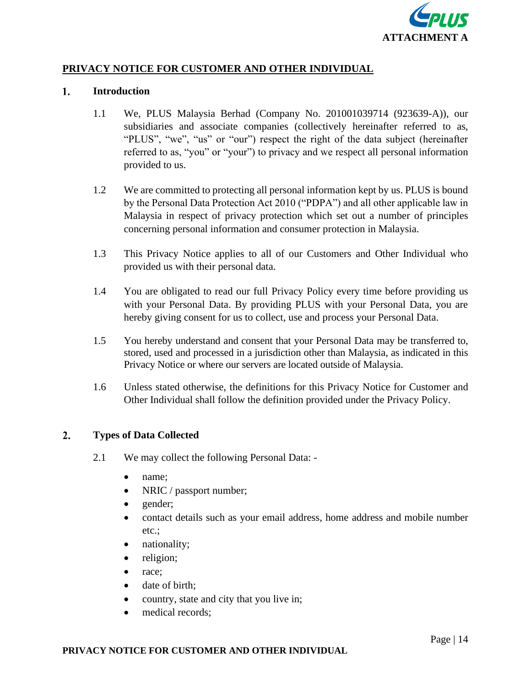

# **PRIVACY NOTICE FOR CUSTOMER AND OTHER INDIVIDUAL**

#### $1.$ **Introduction**

- 1.1 We, PLUS Malaysia Berhad (Company No. 201001039714 (923639-A)), our subsidiaries and associate companies (collectively hereinafter referred to as, "PLUS", "we", "us" or "our") respect the right of the data subject (hereinafter referred to as, "you" or "your") to privacy and we respect all personal information provided to us.
- 1.2 We are committed to protecting all personal information kept by us. PLUS is bound by the Personal Data Protection Act 2010 ("PDPA") and all other applicable law in Malaysia in respect of privacy protection which set out a number of principles concerning personal information and consumer protection in Malaysia.
- 1.3 This Privacy Notice applies to all of our Customers and Other Individual who provided us with their personal data.
- 1.4 You are obligated to read our full Privacy Policy every time before providing us with your Personal Data. By providing PLUS with your Personal Data, you are hereby giving consent for us to collect, use and process your Personal Data.
- 1.5 You hereby understand and consent that your Personal Data may be transferred to, stored, used and processed in a jurisdiction other than Malaysia, as indicated in this Privacy Notice or where our servers are located outside of Malaysia.
- 1.6 Unless stated otherwise, the definitions for this Privacy Notice for Customer and Other Individual shall follow the definition provided under the Privacy Policy.

#### $2.$ **Types of Data Collected**

- 2.1 We may collect the following Personal Data:
	- name;
	- NRIC / passport number;
	- gender;
	- contact details such as your email address, home address and mobile number etc.;
	- nationality;
	- religion;
	- race;
	- date of birth;
	- country, state and city that you live in;
	- medical records;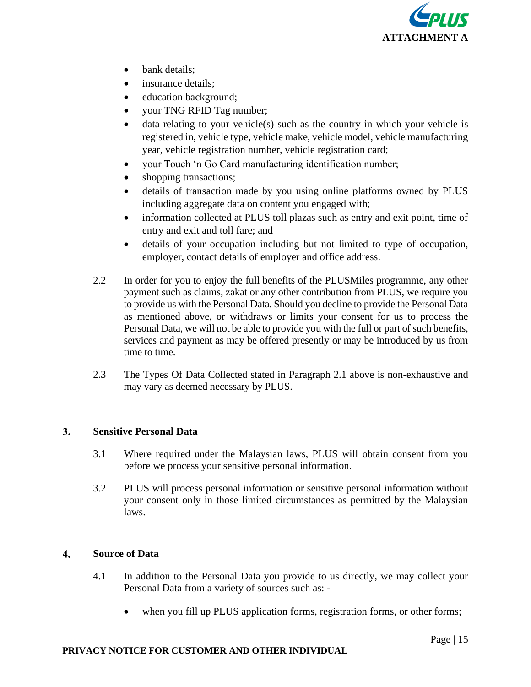

- bank details:
- insurance details:
- education background;
- your TNG RFID Tag number;
- data relating to your vehicle(s) such as the country in which your vehicle is registered in, vehicle type, vehicle make, vehicle model, vehicle manufacturing year, vehicle registration number, vehicle registration card;
- your Touch 'n Go Card manufacturing identification number;
- shopping transactions;
- details of transaction made by you using online platforms owned by PLUS including aggregate data on content you engaged with;
- information collected at PLUS toll plazas such as entry and exit point, time of entry and exit and toll fare; and
- details of your occupation including but not limited to type of occupation, employer, contact details of employer and office address.
- 2.2 In order for you to enjoy the full benefits of the PLUSMiles programme, any other payment such as claims, zakat or any other contribution from PLUS, we require you to provide us with the Personal Data. Should you decline to provide the Personal Data as mentioned above, or withdraws or limits your consent for us to process the Personal Data, we will not be able to provide you with the full or part of such benefits, services and payment as may be offered presently or may be introduced by us from time to time.
- 2.3 The Types Of Data Collected stated in Paragraph 2.1 above is non-exhaustive and may vary as deemed necessary by PLUS.

#### 3. **Sensitive Personal Data**

- 3.1 Where required under the Malaysian laws, PLUS will obtain consent from you before we process your sensitive personal information.
- 3.2 PLUS will process personal information or sensitive personal information without your consent only in those limited circumstances as permitted by the Malaysian laws.

## $\overline{4}$ . **Source of Data**

- 4.1 In addition to the Personal Data you provide to us directly, we may collect your Personal Data from a variety of sources such as: -
	- when you fill up PLUS application forms, registration forms, or other forms;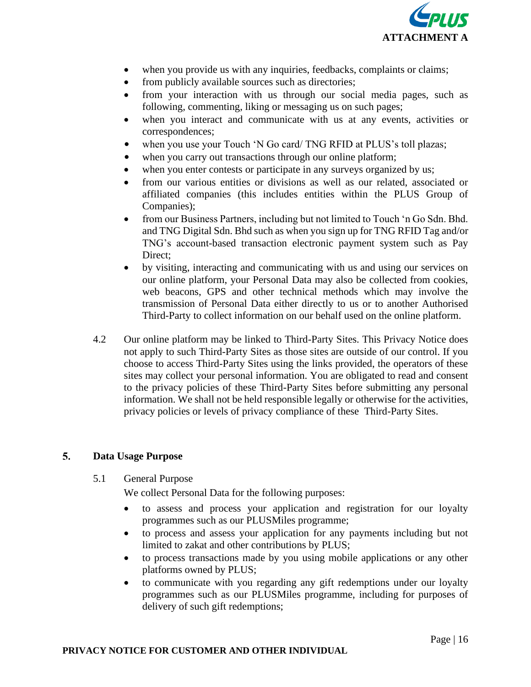

- when you provide us with any inquiries, feedbacks, complaints or claims;
- from publicly available sources such as directories;
- from your interaction with us through our social media pages, such as following, commenting, liking or messaging us on such pages;
- when you interact and communicate with us at any events, activities or correspondences;
- when you use your Touch 'N Go card/ TNG RFID at PLUS's toll plazas;
- when you carry out transactions through our online platform;
- when you enter contests or participate in any surveys organized by us;
- from our various entities or divisions as well as our related, associated or affiliated companies (this includes entities within the PLUS Group of Companies);
- from our Business Partners, including but not limited to Touch 'n Go Sdn. Bhd. and TNG Digital Sdn. Bhd such as when you sign up for TNG RFID Tag and/or TNG's account-based transaction electronic payment system such as Pay Direct:
- by visiting, interacting and communicating with us and using our services on our online platform, your Personal Data may also be collected from cookies, web beacons, GPS and other technical methods which may involve the transmission of Personal Data either directly to us or to another Authorised Third-Party to collect information on our behalf used on the online platform.
- 4.2 Our online platform may be linked to Third-Party Sites. This Privacy Notice does not apply to such Third-Party Sites as those sites are outside of our control. If you choose to access Third-Party Sites using the links provided, the operators of these sites may collect your personal information. You are obligated to read and consent to the privacy policies of these Third-Party Sites before submitting any personal information. We shall not be held responsible legally or otherwise for the activities, privacy policies or levels of privacy compliance of these Third-Party Sites.

# $5.$ **Data Usage Purpose**

# 5.1 General Purpose

We collect Personal Data for the following purposes:

- to assess and process your application and registration for our loyalty programmes such as our PLUSMiles programme;
- to process and assess your application for any payments including but not limited to zakat and other contributions by PLUS;
- to process transactions made by you using mobile applications or any other platforms owned by PLUS;
- to communicate with you regarding any gift redemptions under our loyalty programmes such as our PLUSMiles programme, including for purposes of delivery of such gift redemptions;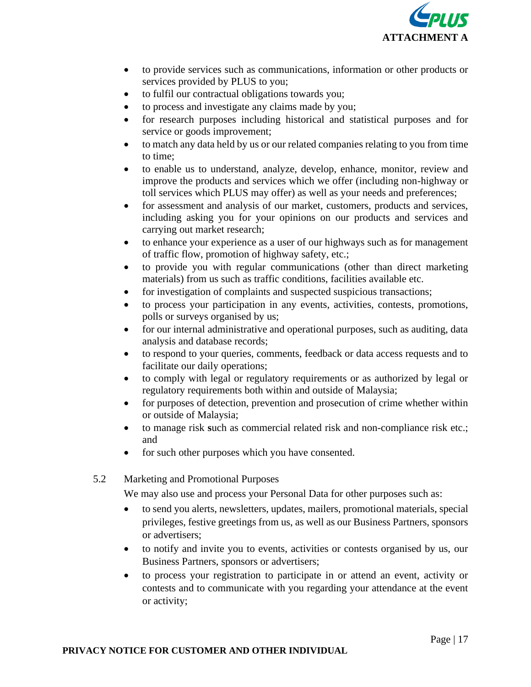

- to provide services such as communications, information or other products or services provided by PLUS to you;
- to fulfil our contractual obligations towards you;
- to process and investigate any claims made by you;
- for research purposes including historical and statistical purposes and for service or goods improvement;
- to match any data held by us or our related companies relating to you from time to time;
- to enable us to understand, analyze, develop, enhance, monitor, review and improve the products and services which we offer (including non-highway or toll services which PLUS may offer) as well as your needs and preferences;
- for assessment and analysis of our market, customers, products and services, including asking you for your opinions on our products and services and carrying out market research;
- to enhance your experience as a user of our highways such as for management of traffic flow, promotion of highway safety, etc.;
- to provide you with regular communications (other than direct marketing materials) from us such as traffic conditions, facilities available etc.
- for investigation of complaints and suspected suspicious transactions;
- to process your participation in any events, activities, contests, promotions, polls or surveys organised by us;
- for our internal administrative and operational purposes, such as auditing, data analysis and database records;
- to respond to your queries, comments, feedback or data access requests and to facilitate our daily operations;
- to comply with legal or regulatory requirements or as authorized by legal or regulatory requirements both within and outside of Malaysia;
- for purposes of detection, prevention and prosecution of crime whether within or outside of Malaysia;
- to manage risk **s**uch as commercial related risk and non-compliance risk etc.; and
- for such other purposes which you have consented.
- 5.2 Marketing and Promotional Purposes

We may also use and process your Personal Data for other purposes such as:

- to send you alerts, newsletters, updates, mailers, promotional materials, special privileges, festive greetings from us, as well as our Business Partners, sponsors or advertisers;
- to notify and invite you to events, activities or contests organised by us, our Business Partners, sponsors or advertisers;
- to process your registration to participate in or attend an event, activity or contests and to communicate with you regarding your attendance at the event or activity;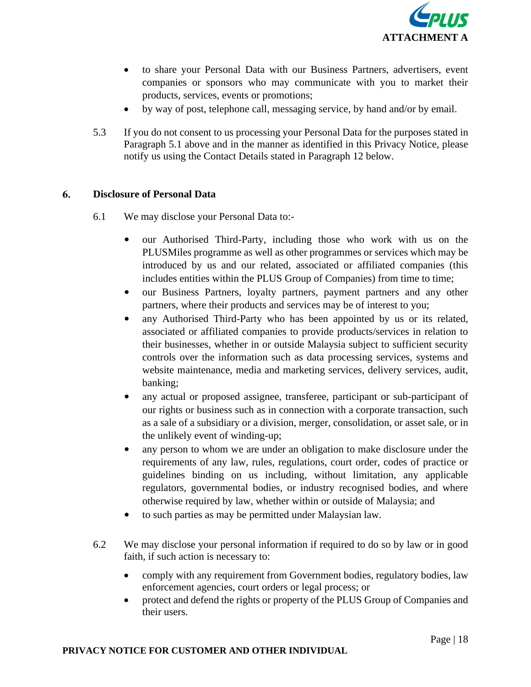

- to share your Personal Data with our Business Partners, advertisers, event companies or sponsors who may communicate with you to market their products, services, events or promotions;
- by way of post, telephone call, messaging service, by hand and/or by email.
- 5.3 If you do not consent to us processing your Personal Data for the purposes stated in Paragraph 5.1 above and in the manner as identified in this Privacy Notice, please notify us using the Contact Details stated in Paragraph 12 below.

## 6. **Disclosure of Personal Data**

- 6.1 We may disclose your Personal Data to:-
	- our Authorised Third-Party, including those who work with us on the PLUSMiles programme as well as other programmes or services which may be introduced by us and our related, associated or affiliated companies (this includes entities within the PLUS Group of Companies) from time to time;
	- our Business Partners, loyalty partners, payment partners and any other partners, where their products and services may be of interest to you;
	- any Authorised Third-Party who has been appointed by us or its related, associated or affiliated companies to provide products/services in relation to their businesses, whether in or outside Malaysia subject to sufficient security controls over the information such as data processing services, systems and website maintenance, media and marketing services, delivery services, audit, banking;
	- any actual or proposed assignee, transferee, participant or sub-participant of our rights or business such as in connection with a corporate transaction, such as a sale of a subsidiary or a division, merger, consolidation, or asset sale, or in the unlikely event of winding-up;
	- any person to whom we are under an obligation to make disclosure under the requirements of any law, rules, regulations, court order, codes of practice or guidelines binding on us including, without limitation, any applicable regulators, governmental bodies, or industry recognised bodies, and where otherwise required by law, whether within or outside of Malaysia; and
	- to such parties as may be permitted under Malaysian law.
- 6.2 We may disclose your personal information if required to do so by law or in good faith, if such action is necessary to:
	- comply with any requirement from Government bodies, regulatory bodies, law enforcement agencies, court orders or legal process; or
	- protect and defend the rights or property of the PLUS Group of Companies and their users.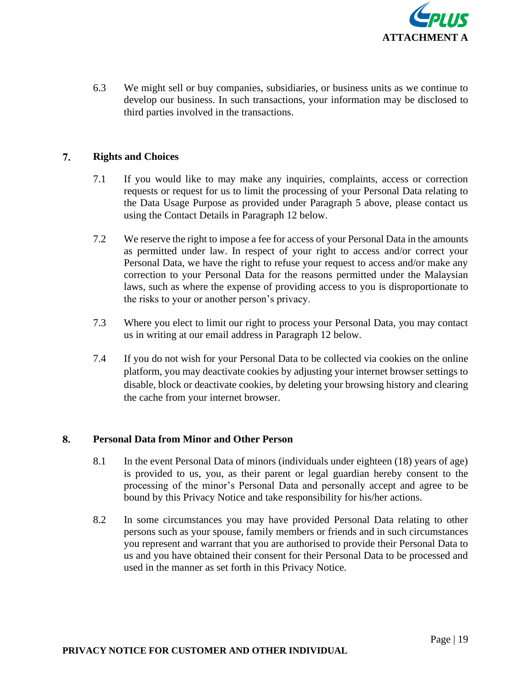

6.3 We might sell or buy companies, subsidiaries, or business units as we continue to develop our business. In such transactions, your information may be disclosed to third parties involved in the transactions.

#### 7. **Rights and Choices**

- 7.1 If you would like to may make any inquiries, complaints, access or correction requests or request for us to limit the processing of your Personal Data relating to the Data Usage Purpose as provided under Paragraph 5 above, please contact us using the Contact Details in Paragraph 12 below.
- 7.2 We reserve the right to impose a fee for access of your Personal Data in the amounts as permitted under law. In respect of your right to access and/or correct your Personal Data, we have the right to refuse your request to access and/or make any correction to your Personal Data for the reasons permitted under the Malaysian laws, such as where the expense of providing access to you is disproportionate to the risks to your or another person's privacy.
- 7.3 Where you elect to limit our right to process your Personal Data, you may contact us in writing at our email address in Paragraph 12 below.
- 7.4 If you do not wish for your Personal Data to be collected via cookies on the online platform, you may deactivate cookies by adjusting your internet browser settings to disable, block or deactivate cookies, by deleting your browsing history and clearing the cache from your internet browser.

#### 8. **Personal Data from Minor and Other Person**

- 8.1 In the event Personal Data of minors (individuals under eighteen (18) years of age) is provided to us, you, as their parent or legal guardian hereby consent to the processing of the minor's Personal Data and personally accept and agree to be bound by this Privacy Notice and take responsibility for his/her actions.
- 8.2 In some circumstances you may have provided Personal Data relating to other persons such as your spouse, family members or friends and in such circumstances you represent and warrant that you are authorised to provide their Personal Data to us and you have obtained their consent for their Personal Data to be processed and used in the manner as set forth in this Privacy Notice.